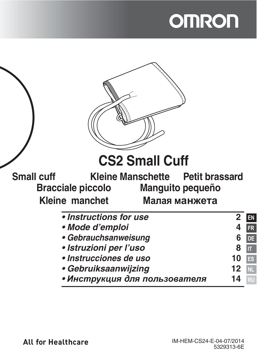# **OMRON**

|                               | <b>CS2 Small Cuff</b>    |                         |                    |
|-------------------------------|--------------------------|-------------------------|--------------------|
| <b>Small cuff</b>             | <b>Kleine Manschette</b> | <b>Petit brassard</b>   |                    |
| <b>Bracciale piccolo</b>      |                          | <b>Manguito pequeño</b> |                    |
| Kleine manchet                |                          | Малая манжета           |                    |
|                               | • Instructions for use   | $\mathbf{2}$            | EN                 |
| • Mode d'emploi               |                          |                         | FR                 |
| • Gebrauchsanweisung          |                          |                         | DE                 |
| · Istruzioni per l'uso        |                          |                         | $\boldsymbol{\Pi}$ |
| · Instrucciones de uso        |                          |                         | ES                 |
| • Gebruiksaanwijzing          |                          |                         | NL                 |
| • Инструкция для пользователя |                          |                         |                    |
|                               |                          |                         |                    |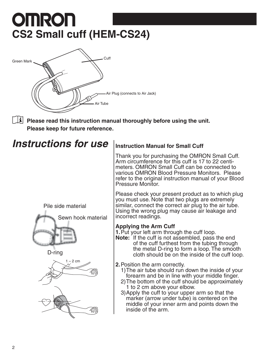# **OMRON CS2 Small cuff (HEM-CS24)**



**Please read this instruction manual thoroughly before using the unit. Please keep for future reference.**

## **Instructions for use** Instruction Manual for Small Cuff

Pile side material Pile side material







Thank you for purchasing the OMRON Small Cuff. Arm circumference for this cuff is 17 to 22 centimeters. OMRON Small Cuff can be connected to various OMRON Blood Pressure Monitors. Please refer to the original instruction manual of your Blood Pressure Monitor.

Please check your present product as to which plug you must use. Note that two plugs are extremely similar, connect the correct air plug to the air tube. Using the wrong plug may cause air leakage and incorrect readings.

### **Applying the Arm Cuff**

**1.** Put your left arm through the cuff loop.

**Note:** If the cuff is not assembled, pass the end of the cuff furthest from the tubing through the metal D-ring to form a loop. The smooth cloth should be on the inside of the cuff loop.

**2.** Position the arm correctly.

1) The air tube should run down the inside of your forearm and be in line with your middle finger.

2) The bottom of the cuff should be approximately 1 to 2 cm above your elbow.

3) Apply the cuff to your upper arm so that the marker (arrow under tube) is centered on the middle of your inner arm and points down the inside of the arm.